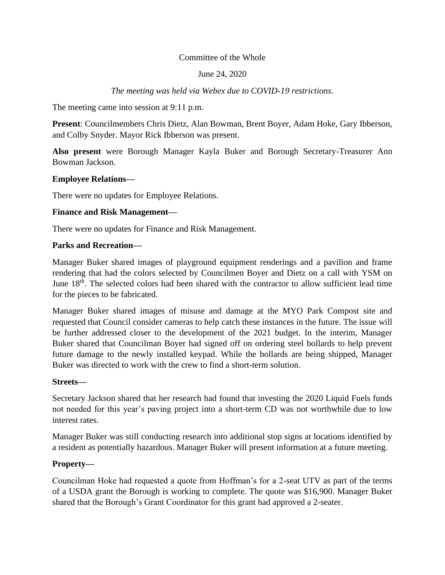# Committee of the Whole

# June 24, 2020

# *The meeting was held via Webex due to COVID-19 restrictions.*

The meeting came into session at 9:11 p.m.

**Present**: Councilmembers Chris Dietz, Alan Bowman, Brent Boyer, Adam Hoke, Gary Ibberson, and Colby Snyder. Mayor Rick Ibberson was present.

**Also present** were Borough Manager Kayla Buker and Borough Secretary-Treasurer Ann Bowman Jackson.

#### **Employee Relations—**

There were no updates for Employee Relations.

## **Finance and Risk Management—**

There were no updates for Finance and Risk Management.

#### **Parks and Recreation—**

Manager Buker shared images of playground equipment renderings and a pavilion and frame rendering that had the colors selected by Councilmen Boyer and Dietz on a call with YSM on June 18<sup>th</sup>. The selected colors had been shared with the contractor to allow sufficient lead time for the pieces to be fabricated.

Manager Buker shared images of misuse and damage at the MYO Park Compost site and requested that Council consider cameras to help catch these instances in the future. The issue will be further addressed closer to the development of the 2021 budget. In the interim, Manager Buker shared that Councilman Boyer had signed off on ordering steel bollards to help prevent future damage to the newly installed keypad. While the bollards are being shipped, Manager Buker was directed to work with the crew to find a short-term solution.

#### **Streets—**

Secretary Jackson shared that her research had found that investing the 2020 Liquid Fuels funds not needed for this year's paving project into a short-term CD was not worthwhile due to low interest rates.

Manager Buker was still conducting research into additional stop signs at locations identified by a resident as potentially hazardous. Manager Buker will present information at a future meeting.

# **Property—**

Councilman Hoke had requested a quote from Hoffman's for a 2-seat UTV as part of the terms of a USDA grant the Borough is working to complete. The quote was \$16,900. Manager Buker shared that the Borough's Grant Coordinator for this grant had approved a 2-seater.